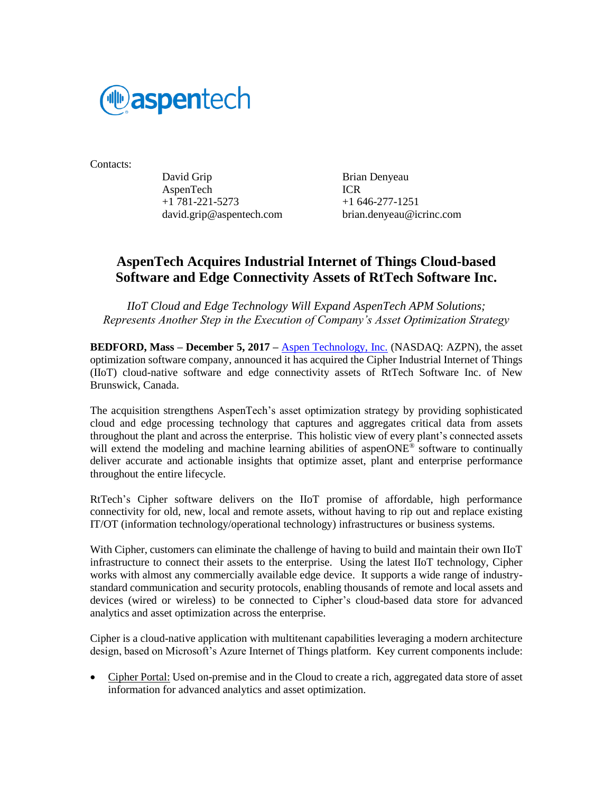

Contacts:

David Grip Brian Denyeau AspenTech ICR +1 781-221-5273 +1 646-277-1251 david.grip@aspentech.com brian.denyeau@icrinc.com

# **AspenTech Acquires Industrial Internet of Things Cloud-based Software and Edge Connectivity Assets of RtTech Software Inc.**

*IIoT Cloud and Edge Technology Will Expand AspenTech APM Solutions; Represents Another Step in the Execution of Company's Asset Optimization Strategy*

**BEDFORD, Mass – December 5, 2017 –** [Aspen Technology, Inc.](http://aspentech.com/) (NASDAQ: AZPN), the asset optimization software company, announced it has acquired the Cipher Industrial Internet of Things (IIoT) cloud-native software and edge connectivity assets of RtTech Software Inc. of New Brunswick, Canada.

The acquisition strengthens AspenTech's asset optimization strategy by providing sophisticated cloud and edge processing technology that captures and aggregates critical data from assets throughout the plant and across the enterprise. This holistic view of every plant's connected assets will extend the modeling and machine learning abilities of aspenONE<sup>®</sup> software to continually deliver accurate and actionable insights that optimize asset, plant and enterprise performance throughout the entire lifecycle.

RtTech's Cipher software delivers on the IIoT promise of affordable, high performance connectivity for old, new, local and remote assets, without having to rip out and replace existing IT/OT (information technology/operational technology) infrastructures or business systems.

With Cipher, customers can eliminate the challenge of having to build and maintain their own IIoT infrastructure to connect their assets to the enterprise. Using the latest IIoT technology, Cipher works with almost any commercially available edge device. It supports a wide range of industrystandard communication and security protocols, enabling thousands of remote and local assets and devices (wired or wireless) to be connected to Cipher's cloud-based data store for advanced analytics and asset optimization across the enterprise.

Cipher is a cloud-native application with multitenant capabilities leveraging a modern architecture design, based on Microsoft's Azure Internet of Things platform. Key current components include:

• Cipher Portal: Used on-premise and in the Cloud to create a rich, aggregated data store of asset information for advanced analytics and asset optimization.